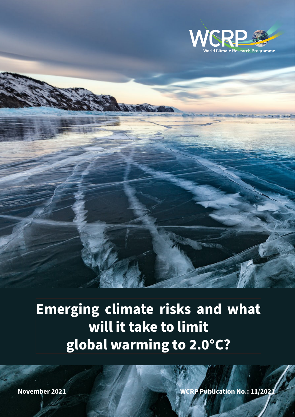

**Emerging climate risks and what will it take to limit global warming to 2.0°C?**

**November 2021 WCRP Publication No.: 11/2021**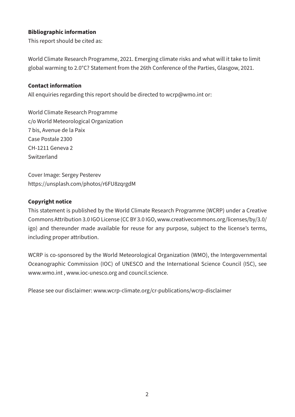# **Bibliographic information**

This report should be cited as:

World Climate Research Programme, 2021. Emerging climate risks and what will it take to limit global warming to 2.0°C? Statement from the 26th Conference of the Parties, Glasgow, 2021.

#### **Contact information**

All enquiries regarding this report should be directed to wcrp@wmo.int or:

World Climate Research Programme c/o World Meteorological Organization 7 bis, Avenue de la Paix Case Postale 2300 CH-1211 Geneva 2 Switzerland

Cover Image: Sergey Pesterev <https://unsplash.com/photos/r6FU8zqrgdM>

#### **Copyright notice**

This statement is published by the World Climate Research Programme (WCRP) under a Creative Commons Attribution 3.0 IGO License (CC BY 3.0 IGO, www.creativecommons.org/licenses/by/3.0/ igo) and thereunder made available for reuse for any purpose, subject to the license's terms, including proper attribution.

WCRP is co-sponsored by the World Meteorological Organization (WMO), the Intergovernmental Oceanographic Commission (IOC) of UNESCO and the International Science Council (ISC), see www.wmo.int , www.ioc-unesco.org and council.science.

Please see our disclaimer: [www.wcrp-climate.org/cr-publications/wcrp-disclaimer](https://www.wcrp-climate.org/cr-publications/wcrp-disclaimer)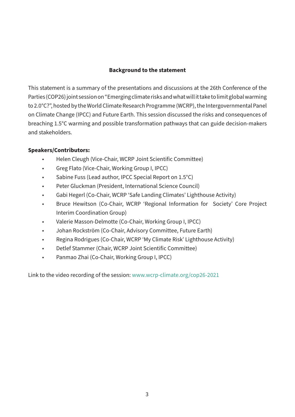## **Background to the statement**

This statement is a summary of the presentations and discussions at the 26th Conference of the Parties (COP26) joint session on "Emerging climate risks and what will it take to limit global warming to 2.0°C?", hosted by the World Climate Research Programme (WCRP), the Intergovernmental Panel on Climate Change (IPCC) and Future Earth. This session discussed the risks and consequences of breaching 1.5°C warming and possible transformation pathways that can guide decision-makers and stakeholders.

# **Speakers/Contributors:**

- Helen Cleugh (Vice-Chair, WCRP Joint Scientific Committee)
- Greg Flato (Vice-Chair, Working Group I, IPCC)
- Sabine Fuss (Lead author, IPCC Special Report on 1.5°C)
- Peter Gluckman (President, International Science Council)
- Gabi Hegerl (Co-Chair, WCRP 'Safe Landing Climates' Lighthouse Activity)
- Bruce Hewitson (Co-Chair, WCRP 'Regional Information for Society' Core Project Interim Coordination Group)
- Valerie Masson-Delmotte (Co-Chair, Working Group I, IPCC)
- Johan Rockström (Co-Chair, Advisory Committee, Future Earth)
- Regina Rodrigues (Co-Chair, WCRP 'My Climate Risk' Lighthouse Activity)
- Detlef Stammer (Chair, WCRP Joint Scientific Committee)
- Panmao Zhai (Co-Chair, Working Group I, IPCC)

Link to the video recording of the session: [www.wcrp-climate.org/cop26-2021](http://www.wcrp-climate.org/cop26-2021)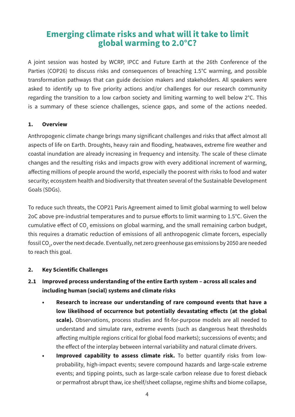# **Emerging climate risks and what will it take to limit global warming to 2.0°C?**

A joint session was hosted by WCRP, IPCC and Future Earth at the 26th Conference of the Parties (COP26) to discuss risks and consequences of breaching 1.5°C warming, and possible transformation pathways that can guide decision makers and stakeholders. All speakers were asked to identify up to five priority actions and/or challenges for our research community regarding the transition to a low carbon society and limiting warming to well below 2°C. This is a summary of these science challenges, science gaps, and some of the actions needed.

#### **1. Overview**

Anthropogenic climate change brings many significant challenges and risks that affect almost all aspects of life on Earth. Droughts, heavy rain and flooding, heatwaves, extreme fire weather and coastal inundation are already increasing in frequency and intensity. The scale of these climate changes and the resulting risks and impacts grow with every additional increment of warming, affecting millions of people around the world, especially the poorest with risks to food and water security; ecosystem health and biodiversity that threaten several of the Sustainable Development Goals (SDGs).

To reduce such threats, the COP21 Paris Agreement aimed to limit global warming to well below 2oC above pre-industrial temperatures and to pursue efforts to limit warming to 1.5°C. Given the cumulative effect of CO<sub>2</sub> emissions on global warming, and the small remaining carbon budget, this requires a dramatic reduction of emissions of all anthropogenic climate forcers, especially fossil CO $_{\textrm{\tiny{2}}}$ , over the next decade. Eventually, net zero greenhouse gas emissions by 2050 are needed to reach this goal.

#### **2. Key Scientific Challenges**

# **2.1 Improved process understanding of the entire Earth system – across all scales and including human (social) systems and climate risks**

- **• Research to increase our understanding of rare compound events that have a low likelihood of occurrence but potentially devastating effects (at the global scale).** Observations, process studies and fit-for-purpose models are all needed to understand and simulate rare, extreme events (such as dangerous heat thresholds affecting multiple regions critical for global food markets); successions of events; and the effect of the interplay between internal variability and natural climate drivers.
- **Improved capability to assess climate risk.** To better quantify risks from lowprobability, high-impact events; severe compound hazards and large-scale extreme events; and tipping points, such as large-scale carbon release due to forest dieback or permafrost abrupt thaw, ice shelf/sheet collapse, regime shifts and biome collapse,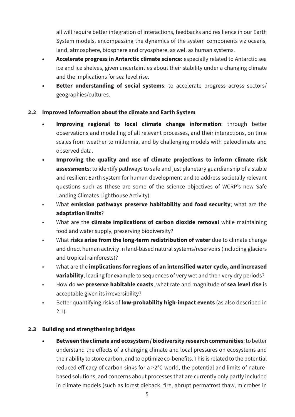all will require better integration of interactions, feedbacks and resilience in our Earth System models, encompassing the dynamics of the system components viz oceans, land, atmosphere, biosphere and cryosphere, as well as human systems.

- **• Accelerate progress in Antarctic climate science**: especially related to Antarctic sea ice and ice shelves, given uncertainties about their stability under a changing climate and the implications for sea level rise.
- **• Better understanding of social systems**: to accelerate progress across sectors/ geographies/cultures.

# **2.2 Improved information about the climate and Earth System**

- **• Improving regional to local climate change information**: through better observations and modelling of all relevant processes, and their interactions, on time scales from weather to millennia, and by challenging models with paleoclimate and observed data.
- **• Improving the quality and use of climate projections to inform climate risk assessments**: to identify pathways to safe and just planetary guardianship of a stable and resilient Earth system for human development and to address societally relevant questions such as (these are some of the science objectives of WCRP's new Safe Landing Climates Lighthouse Activity):
- What **emission pathways preserve habitability and food security**; what are the **adaptation limits**?
- What are the **climate implications of carbon dioxide removal** while maintaining food and water supply, preserving biodiversity?
- What **risks arise from the long-term redistribution of water** due to climate change and direct human activity in land-based natural systems/reservoirs (including glaciers and tropical rainforests)?
- What are the **implications for regions of an intensified water cycle, and increased variability**, leading for example to sequences of very wet and then very dry periods?
- How do we **preserve habitable coasts**, what rate and magnitude of **sea level rise** is acceptable given its irreversibility?
- Better quantifying risks of **low-probability high-impact events** (as also described in 2.1).

#### **2.3 Building and strengthening bridges**

**• Between the climate and ecosystem / biodiversity research communities**: to better understand the effects of a changing climate and local pressures on ecosystems and their ability to store carbon, and to optimize co-benefits. This is related to the potential reduced efficacy of carbon sinks for a >2°C world, the potential and limits of naturebased solutions, and concerns about processes that are currently only partly included in climate models (such as forest dieback, fire, abrupt permafrost thaw, microbes in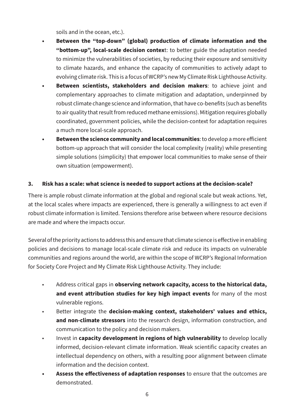soils and in the ocean, etc.).

- **• Between the "top-down" (global) production of climate information and the "bottom-up", local-scale decision contex**t: to better guide the adaptation needed to minimize the vulnerabilities of societies, by reducing their exposure and sensitivity to climate hazards, and enhance the capacity of communities to actively adapt to evolving climate risk. This is a focus of WCRP's new My Climate Risk Lighthouse Activity.
- **• Between scientists, stakeholders and decision makers**: to achieve joint and complementary approaches to climate mitigation and adaptation, underpinned by robust climate change science and information, that have co-benefits (such as benefits to air quality that result from reduced methane emissions). Mitigation requires globally coordinated, government policies, while the decision-context for adaptation requires a much more local-scale approach.
- **• Between the science community and local communities**: to develop a more efficient bottom-up approach that will consider the local complexity (reality) while presenting simple solutions (simplicity) that empower local communities to make sense of their own situation (empowerment).

#### **3. Risk has a scale: what science is needed to support actions at the decision-scale?**

There is ample robust climate information at the global and regional scale but weak actions. Yet, at the local scales where impacts are experienced, there is generally a willingness to act even if robust climate information is limited. Tensions therefore arise between where resource decisions are made and where the impacts occur.

Several of the priority actions to address this and ensure that climate science is effective in enabling policies and decisions to manage local-scale climate risk and reduce its impacts on vulnerable communities and regions around the world, are within the scope of WCRP's Regional Information for Society Core Project and My Climate Risk Lighthouse Activity. They include:

- Address critical gaps in **observing network capacity, access to the historical data, and event attribution studies for key high impact events** for many of the most vulnerable regions.
- Better integrate the **decision-making context, stakeholders' values and ethics, and non-climate stressors** into the research design, information construction, and communication to the policy and decision makers.
- Invest in **capacity development in regions of high vulnerability** to develop locally informed, decision-relevant climate information. Weak scientific capacity creates an intellectual dependency on others, with a resulting poor alignment between climate information and the decision context.
- **• Assess the effectiveness of adaptation responses** to ensure that the outcomes are demonstrated.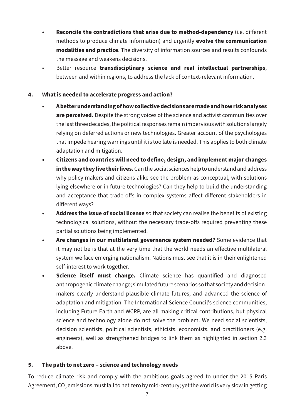- **• Reconcile the contradictions that arise due to method-dependency** (i.e. different methods to produce climate information) and urgently **evolve the communication modalities and practice**. The diversity of information sources and results confounds the message and weakens decisions.
- Better resource **transdisciplinary science and real intellectual partnerships**, between and within regions, to address the lack of context-relevant information.

# **4. What is needed to accelerate progress and action?**

- **• A better understanding of how collective decisions are made and how risk analyses are perceived.** Despite the strong voices of the science and activist communities over the last three decades, the political responses remain impervious with solutions largely relying on deferred actions or new technologies. Greater account of the psychologies that impede hearing warnings until it is too late is needed. This applies to both climate adaptation and mitigation.
- **• Citizens and countries will need to define, design, and implement major changes in the way they live their lives.** Can the social sciences help to understand and address why policy makers and citizens alike see the problem as conceptual, with solutions lying elsewhere or in future technologies? Can they help to build the understanding and acceptance that trade-offs in complex systems affect different stakeholders in different ways?
- **• Address the issue of social license** so that society can realise the benefits of existing technological solutions, without the necessary trade-offs required preventing these partial solutions being implemented.
- **• Are changes in our multilateral governance system needed?** Some evidence that it may not be is that at the very time that the world needs an effective multilateral system we face emerging nationalism. Nations must see that it is in their enlightened self-interest to work together.
- **• Science itself must change.** Climate science has quantified and diagnosed anthropogenic climate change; simulated future scenarios so that society and decisionmakers clearly understand plausible climate futures; and advanced the science of adaptation and mitigation. The International Science Council's science communities, including Future Earth and WCRP, are all making critical contributions, but physical science and technology alone do not solve the problem. We need social scientists, decision scientists, political scientists, ethicists, economists, and practitioners (e.g. engineers), well as strengthened bridges to link them as highlighted in section 2.3 above.

#### **5. The path to net zero – science and technology needs**

To reduce climate risk and comply with the ambitious goals agreed to under the 2015 Paris Agreement, CO<sub>2</sub> emissions must fall to net zero by mid-century; yet the world is very slow in getting